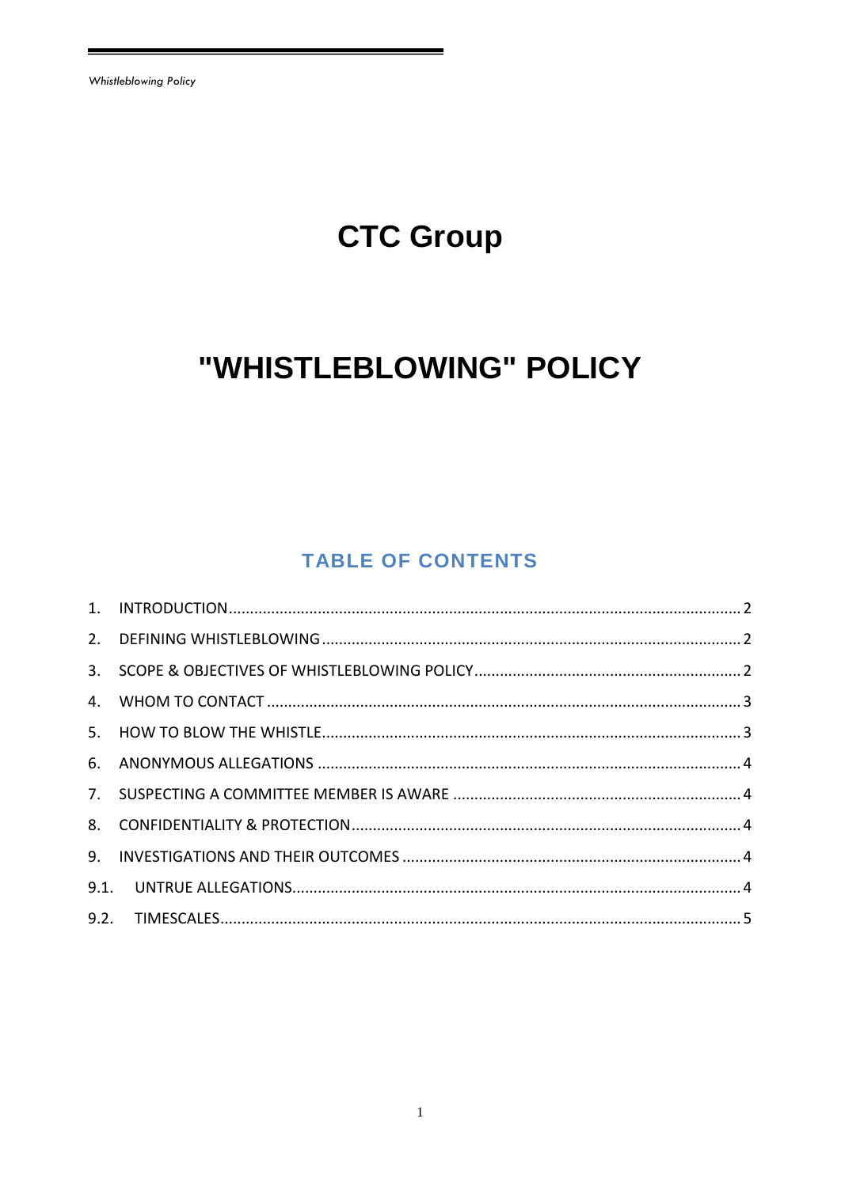# **CTC Group**

# "WHISTLEBLOWING" POLICY

## **TABLE OF CONTENTS**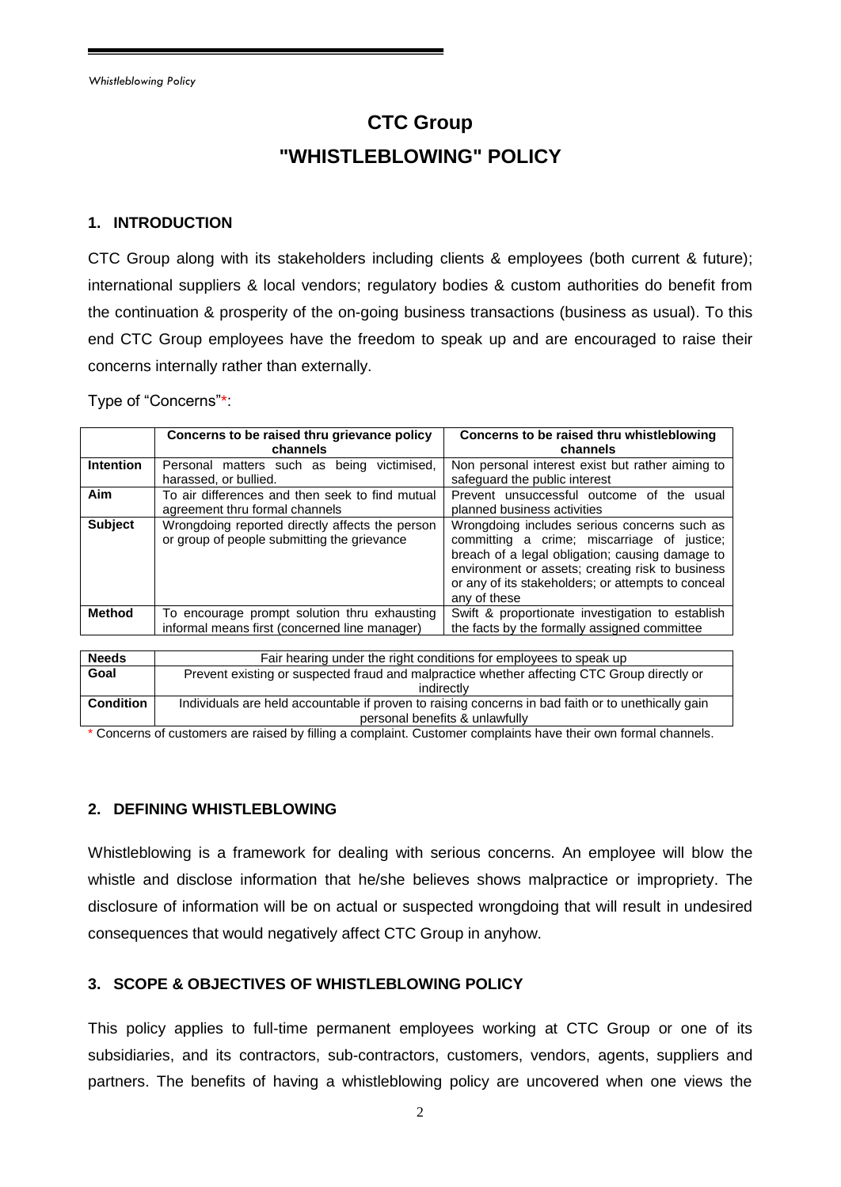## **CTC Group "WHISTLEBLOWING" POLICY**

#### <span id="page-1-0"></span>**1. INTRODUCTION**

CTC Group along with its stakeholders including clients & employees (both current & future); international suppliers & local vendors; regulatory bodies & custom authorities do benefit from the continuation & prosperity of the on-going business transactions (business as usual). To this end CTC Group employees have the freedom to speak up and are encouraged to raise their concerns internally rather than externally.

Type of "Concerns"\*:

|                  | Concerns to be raised thru grievance policy<br>channels                                        | Concerns to be raised thru whistleblowing<br>channels                                                                                                                                                                                                                    |
|------------------|------------------------------------------------------------------------------------------------|--------------------------------------------------------------------------------------------------------------------------------------------------------------------------------------------------------------------------------------------------------------------------|
| <b>Intention</b> | victimised.<br>Personal matters such as<br>being<br>harassed, or bullied.                      | Non personal interest exist but rather aiming to<br>safeguard the public interest                                                                                                                                                                                        |
| Aim              | To air differences and then seek to find mutual<br>agreement thru formal channels              | Prevent unsuccessful outcome of the<br>usual<br>planned business activities                                                                                                                                                                                              |
| <b>Subject</b>   | Wrongdoing reported directly affects the person<br>or group of people submitting the grievance | Wrongdoing includes serious concerns such as<br>committing a crime; miscarriage of justice;<br>breach of a legal obligation; causing damage to<br>environment or assets; creating risk to business<br>or any of its stakeholders; or attempts to conceal<br>any of these |
| <b>Method</b>    | To encourage prompt solution thru exhausting<br>informal means first (concerned line manager)  | Swift & proportionate investigation to establish<br>the facts by the formally assigned committee                                                                                                                                                                         |

| <b>Needs</b>     | Fair hearing under the right conditions for employees to speak up                                  |  |
|------------------|----------------------------------------------------------------------------------------------------|--|
| Goal             | Prevent existing or suspected fraud and malpractice whether affecting CTC Group directly or        |  |
|                  | indirectly                                                                                         |  |
| <b>Condition</b> | Individuals are held accountable if proven to raising concerns in bad faith or to unethically gain |  |
|                  | personal benefits & unlawfully                                                                     |  |

\* Concerns of customers are raised by filling a complaint. Customer complaints have their own formal channels.

#### <span id="page-1-1"></span>**2. DEFINING WHISTLEBLOWING**

Whistleblowing is a framework for dealing with serious concerns. An employee will blow the whistle and disclose information that he/she believes shows malpractice or impropriety. The disclosure of information will be on actual or suspected wrongdoing that will result in undesired consequences that would negatively affect CTC Group in anyhow.

#### <span id="page-1-2"></span>**3. SCOPE & OBJECTIVES OF WHISTLEBLOWING POLICY**

This policy applies to full-time permanent employees working at CTC Group or one of its subsidiaries, and its contractors, sub-contractors, customers, vendors, agents, suppliers and partners. The benefits of having a whistleblowing policy are uncovered when one views the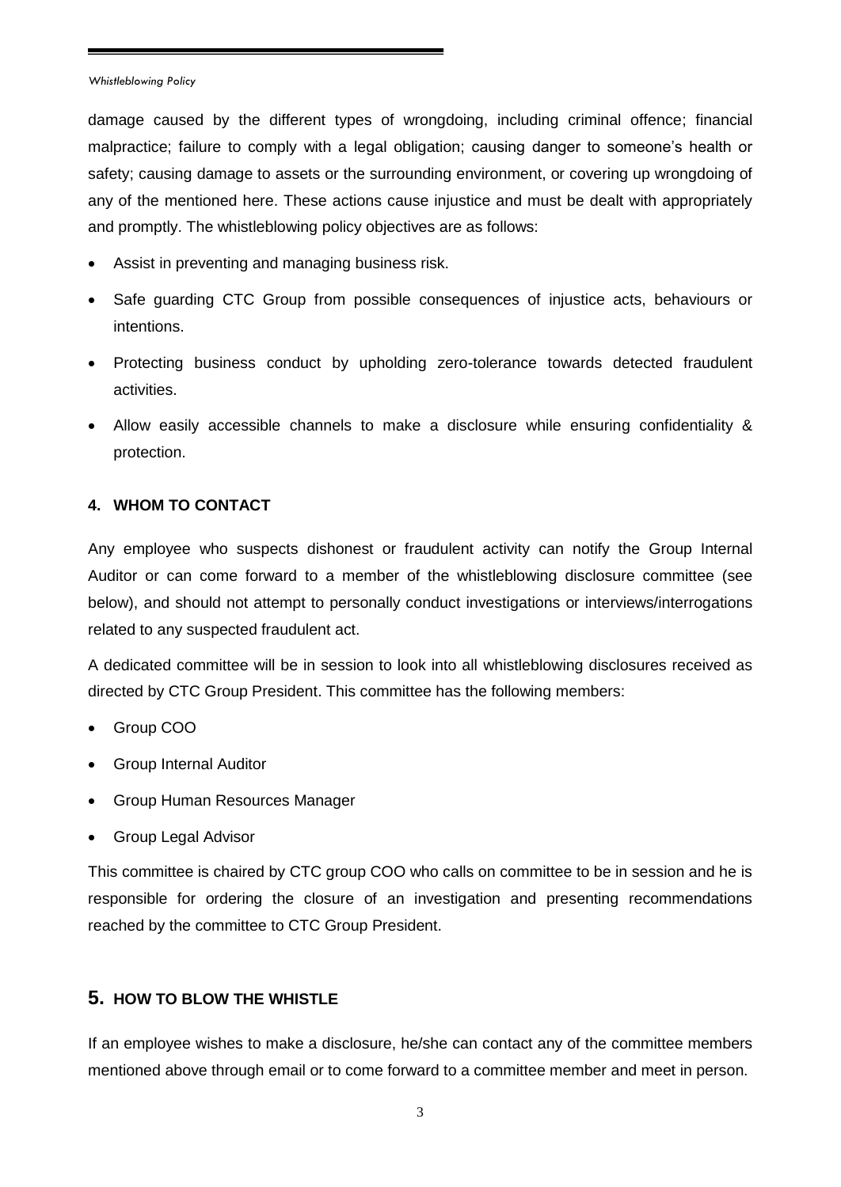damage caused by the different types of wrongdoing, including criminal offence; financial malpractice; failure to comply with a legal obligation; causing danger to someone's health or safety; causing damage to assets or the surrounding environment, or covering up wrongdoing of any of the mentioned here. These actions cause injustice and must be dealt with appropriately and promptly. The whistleblowing policy objectives are as follows:

- Assist in preventing and managing business risk.
- Safe guarding CTC Group from possible consequences of injustice acts, behaviours or intentions.
- Protecting business conduct by upholding zero-tolerance towards detected fraudulent activities.
- Allow easily accessible channels to make a disclosure while ensuring confidentiality & protection.

#### <span id="page-2-0"></span>**4. WHOM TO CONTACT**

Any employee who suspects dishonest or fraudulent activity can notify the Group Internal Auditor or can come forward to a member of the whistleblowing disclosure committee (see below), and should not attempt to personally conduct investigations or interviews/interrogations related to any suspected fraudulent act.

A dedicated committee will be in session to look into all whistleblowing disclosures received as directed by CTC Group President. This committee has the following members:

- Group COO
- Group Internal Auditor
- Group Human Resources Manager
- Group Legal Advisor

This committee is chaired by CTC group COO who calls on committee to be in session and he is responsible for ordering the closure of an investigation and presenting recommendations reached by the committee to CTC Group President.

#### <span id="page-2-1"></span>**5. HOW TO BLOW THE WHISTLE**

If an employee wishes to make a disclosure, he/she can contact any of the committee members mentioned above through email or to come forward to a committee member and meet in person.

3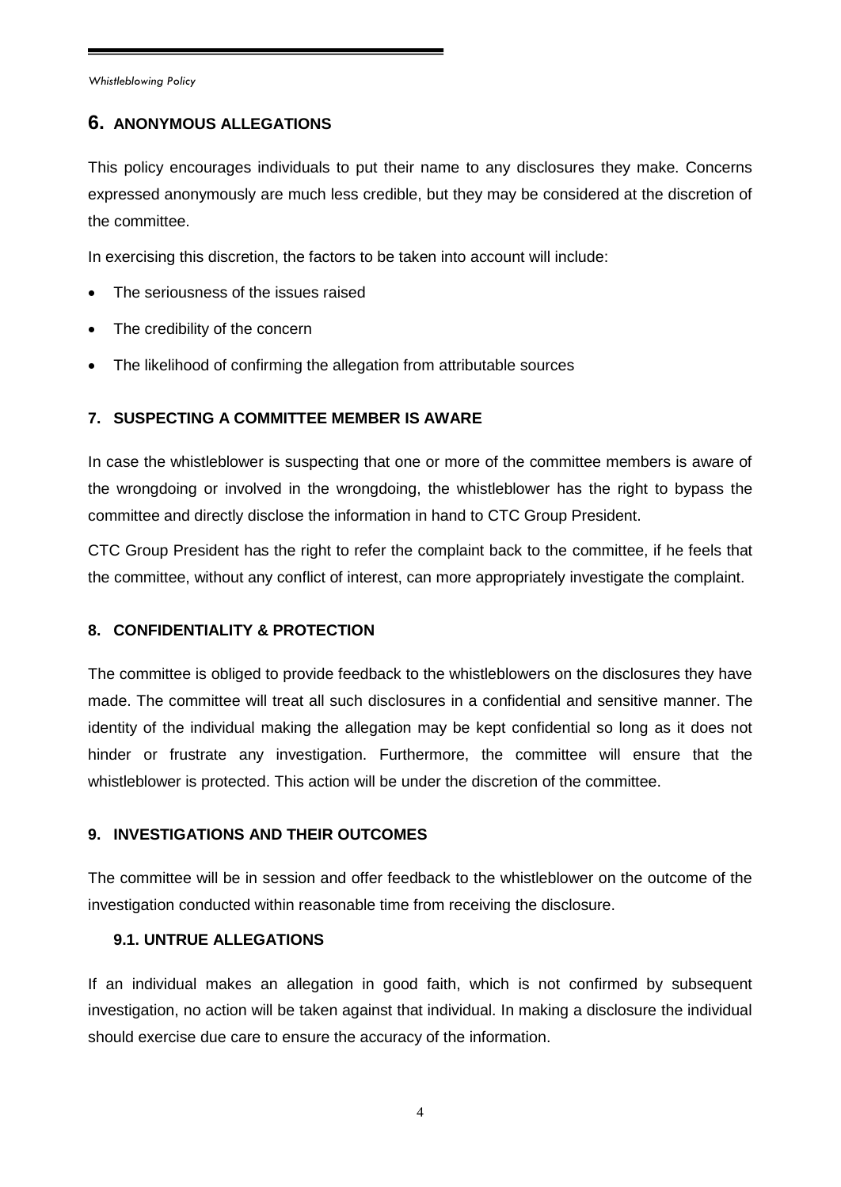### <span id="page-3-0"></span>**6. ANONYMOUS ALLEGATIONS**

This policy encourages individuals to put their name to any disclosures they make. Concerns expressed anonymously are much less credible, but they may be considered at the discretion of the committee.

In exercising this discretion, the factors to be taken into account will include:

- The seriousness of the issues raised
- The credibility of the concern
- The likelihood of confirming the allegation from attributable sources

#### <span id="page-3-1"></span>**7. SUSPECTING A COMMITTEE MEMBER IS AWARE**

In case the whistleblower is suspecting that one or more of the committee members is aware of the wrongdoing or involved in the wrongdoing, the whistleblower has the right to bypass the committee and directly disclose the information in hand to CTC Group President.

CTC Group President has the right to refer the complaint back to the committee, if he feels that the committee, without any conflict of interest, can more appropriately investigate the complaint.

#### <span id="page-3-2"></span>**8. CONFIDENTIALITY & PROTECTION**

The committee is obliged to provide feedback to the whistleblowers on the disclosures they have made. The committee will treat all such disclosures in a confidential and sensitive manner. The identity of the individual making the allegation may be kept confidential so long as it does not hinder or frustrate any investigation. Furthermore, the committee will ensure that the whistleblower is protected. This action will be under the discretion of the committee.

#### <span id="page-3-3"></span>**9. INVESTIGATIONS AND THEIR OUTCOMES**

The committee will be in session and offer feedback to the whistleblower on the outcome of the investigation conducted within reasonable time from receiving the disclosure.

### <span id="page-3-4"></span>**9.1. UNTRUE ALLEGATIONS**

If an individual makes an allegation in good faith, which is not confirmed by subsequent investigation, no action will be taken against that individual. In making a disclosure the individual should exercise due care to ensure the accuracy of the information.